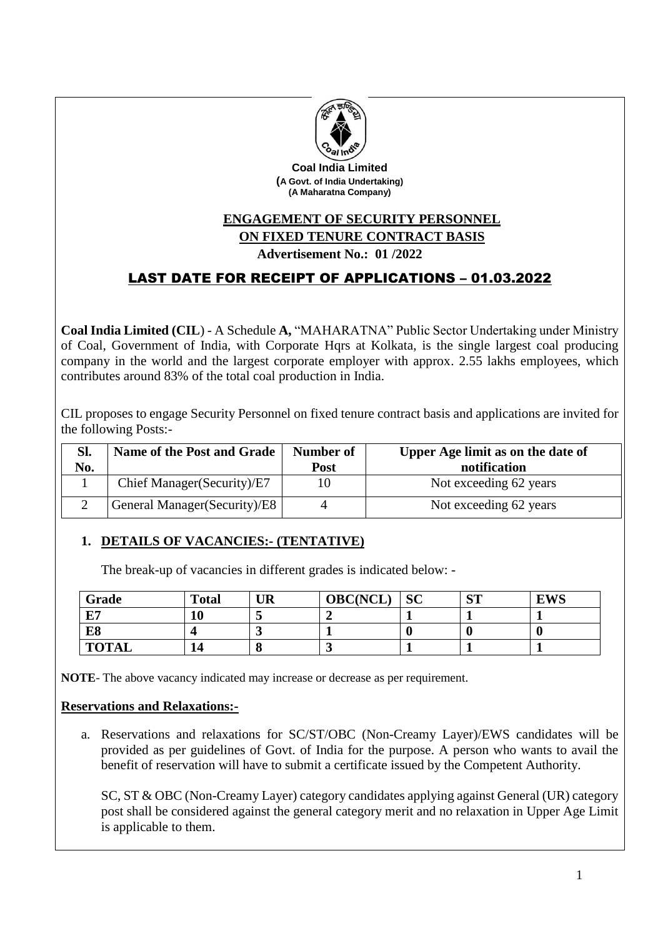

**Coal India Limited (A Govt. of India Undertaking) (A Maharatna Company)**

# **ENGAGEMENT OF SECURITY PERSONNEL ON FIXED TENURE CONTRACT BASIS**

## **Advertisement No.: 01 /2022**

## LAST DATE FOR RECEIPT OF APPLICATIONS – 01.03.2022

**Coal India Limited (CIL**) - A Schedule **A,** "MAHARATNA" Public Sector Undertaking under Ministry of Coal, Government of India, with Corporate Hqrs at Kolkata, is the single largest coal producing company in the world and the largest corporate employer with approx. 2.55 lakhs employees, which contributes around 83% of the total coal production in India.

CIL proposes to engage Security Personnel on fixed tenure contract basis and applications are invited for the following Posts:-

| Sl. | Name of the Post and Grade    | <b>Number of</b> | Upper Age limit as on the date of |
|-----|-------------------------------|------------------|-----------------------------------|
| No. |                               | Post             | notification                      |
|     | Chief Manager (Security)/E7   |                  | Not exceeding 62 years            |
|     | General Manager (Security)/E8 |                  | Not exceeding 62 years            |

## **1. DETAILS OF VACANCIES:- (TENTATIVE)**

The break-up of vacancies in different grades is indicated below: -

| Grade        | <b>Total</b> | <b>UR</b> | <b>OBC(NCL</b> | <b>SC</b> | CIT<br>N. | <b>EWS</b> |
|--------------|--------------|-----------|----------------|-----------|-----------|------------|
| F7           | 10           |           |                |           |           |            |
| E8           |              |           |                |           |           |            |
| <b>TOTAL</b> | 14           |           |                |           |           |            |

**NOTE**- The above vacancy indicated may increase or decrease as per requirement.

## **Reservations and Relaxations:-**

a. Reservations and relaxations for SC/ST/OBC (Non-Creamy Layer)/EWS candidates will be provided as per guidelines of Govt. of India for the purpose. A person who wants to avail the benefit of reservation will have to submit a certificate issued by the Competent Authority.

SC, ST & OBC (Non-Creamy Layer) category candidates applying against General (UR) category post shall be considered against the general category merit and no relaxation in Upper Age Limit is applicable to them.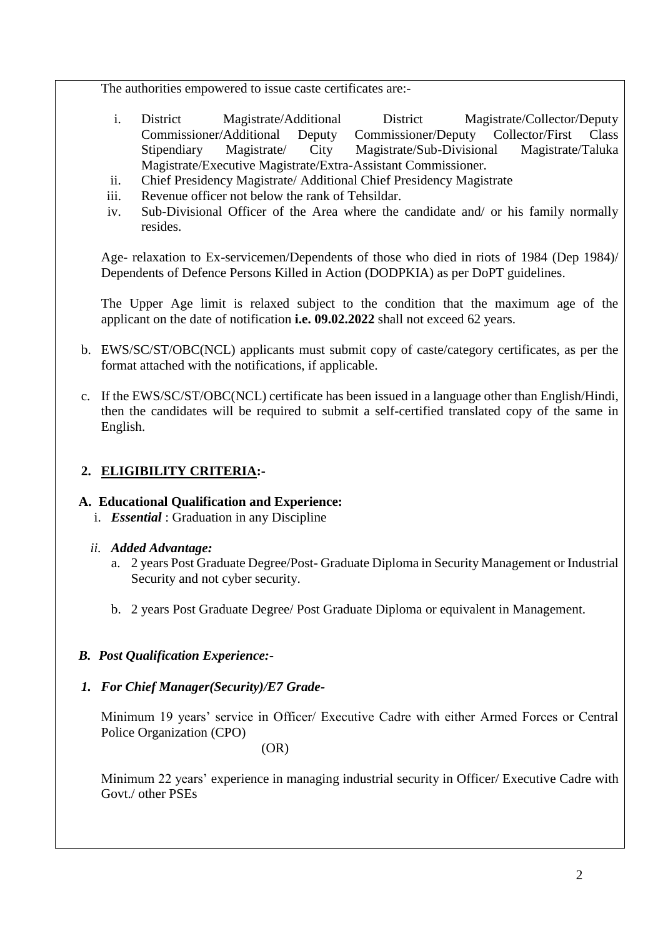The authorities empowered to issue caste certificates are:-

- i. District Magistrate/Additional District Magistrate/Collector/Deputy Commissioner/Additional Deputy Commissioner/Deputy Collector/First Class Stipendiary Magistrate/ City Magistrate/Sub-Divisional Magistrate/Taluka Magistrate/Executive Magistrate/Extra-Assistant Commissioner.
- ii. Chief Presidency Magistrate/ Additional Chief Presidency Magistrate
- iii. Revenue officer not below the rank of Tehsildar.
- iv. Sub-Divisional Officer of the Area where the candidate and/ or his family normally resides.

Age- relaxation to Ex-servicemen/Dependents of those who died in riots of 1984 (Dep 1984)/ Dependents of Defence Persons Killed in Action (DODPKIA) as per DoPT guidelines.

The Upper Age limit is relaxed subject to the condition that the maximum age of the applicant on the date of notification **i.e. 09.02.2022** shall not exceed 62 years.

- b. EWS/SC/ST/OBC(NCL) applicants must submit copy of caste/category certificates, as per the format attached with the notifications, if applicable.
- c. If the EWS/SC/ST/OBC(NCL) certificate has been issued in a language other than English/Hindi, then the candidates will be required to submit a self-certified translated copy of the same in English.

## **2. ELIGIBILITY CRITERIA:-**

## **A. Educational Qualification and Experience:**

i. *Essential* : Graduation in any Discipline

## *ii. Added Advantage:*

- a. 2 years Post Graduate Degree/Post- Graduate Diploma in Security Management or Industrial Security and not cyber security.
- b. 2 years Post Graduate Degree/ Post Graduate Diploma or equivalent in Management.
- *B. Post Qualification Experience:-*
- *1. For Chief Manager(Security)/E7 Grade-*

Minimum 19 years' service in Officer/ Executive Cadre with either Armed Forces or Central Police Organization (CPO)

(OR)

Minimum 22 years' experience in managing industrial security in Officer/ Executive Cadre with Govt./ other PSEs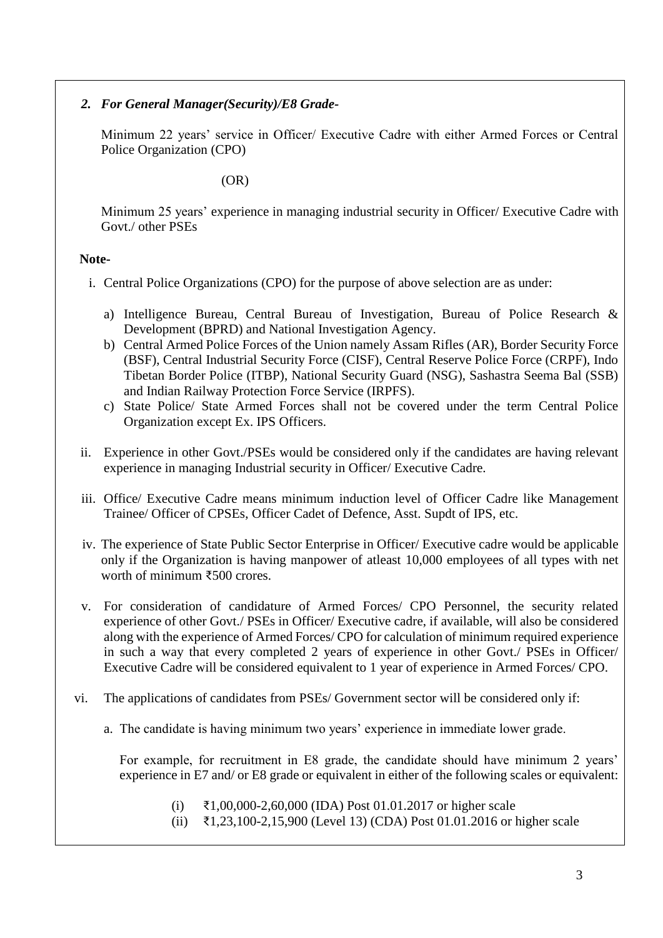#### *2. For General Manager(Security)/E8 Grade-*

Minimum 22 years' service in Officer/ Executive Cadre with either Armed Forces or Central Police Organization (CPO)

(OR)

Minimum 25 years' experience in managing industrial security in Officer/ Executive Cadre with Govt./ other PSEs

#### **Note-**

- i. Central Police Organizations (CPO) for the purpose of above selection are as under:
	- a) Intelligence Bureau, Central Bureau of Investigation, Bureau of Police Research & Development (BPRD) and National Investigation Agency.
	- b) Central Armed Police Forces of the Union namely Assam Rifles (AR), Border Security Force (BSF), Central Industrial Security Force (CISF), Central Reserve Police Force (CRPF), Indo Tibetan Border Police (ITBP), National Security Guard (NSG), Sashastra Seema Bal (SSB) and Indian Railway Protection Force Service (IRPFS).
	- c) State Police/ State Armed Forces shall not be covered under the term Central Police Organization except Ex. IPS Officers.
- ii. Experience in other Govt./PSEs would be considered only if the candidates are having relevant experience in managing Industrial security in Officer/ Executive Cadre.
- iii. Office/ Executive Cadre means minimum induction level of Officer Cadre like Management Trainee/ Officer of CPSEs, Officer Cadet of Defence, Asst. Supdt of IPS, etc.
- iv. The experience of State Public Sector Enterprise in Officer/ Executive cadre would be applicable only if the Organization is having manpower of atleast 10,000 employees of all types with net worth of minimum ₹500 crores.
- v. For consideration of candidature of Armed Forces/ CPO Personnel, the security related experience of other Govt./ PSEs in Officer/ Executive cadre, if available, will also be considered along with the experience of Armed Forces/ CPO for calculation of minimum required experience in such a way that every completed 2 years of experience in other Govt./ PSEs in Officer/ Executive Cadre will be considered equivalent to 1 year of experience in Armed Forces/ CPO.
- vi. The applications of candidates from PSEs/ Government sector will be considered only if:
	- a. The candidate is having minimum two years' experience in immediate lower grade.

For example, for recruitment in E8 grade, the candidate should have minimum 2 years' experience in E7 and/ or E8 grade or equivalent in either of the following scales or equivalent:

- (i) ₹1,00,000-2,60,000 (IDA) Post 01.01.2017 or higher scale
- (ii) ₹1,23,100-2,15,900 (Level 13) (CDA) Post 01.01.2016 or higher scale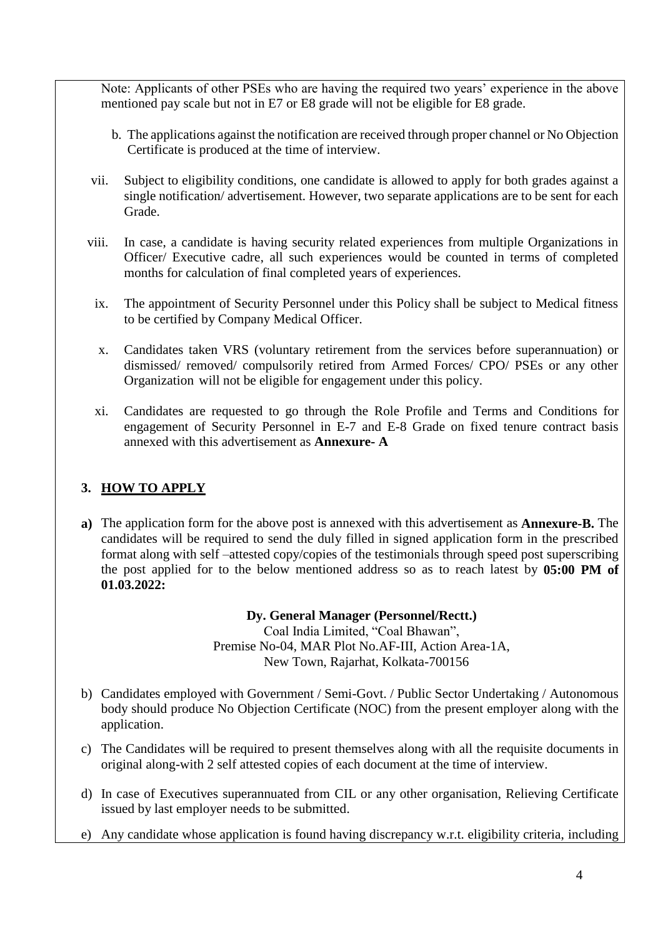Note: Applicants of other PSEs who are having the required two years' experience in the above mentioned pay scale but not in E7 or E8 grade will not be eligible for E8 grade.

- b. The applications against the notification are received through proper channel or No Objection Certificate is produced at the time of interview.
- vii. Subject to eligibility conditions, one candidate is allowed to apply for both grades against a single notification/ advertisement. However, two separate applications are to be sent for each Grade.
- viii. In case, a candidate is having security related experiences from multiple Organizations in Officer/ Executive cadre, all such experiences would be counted in terms of completed months for calculation of final completed years of experiences.
	- ix. The appointment of Security Personnel under this Policy shall be subject to Medical fitness to be certified by Company Medical Officer.
	- x. Candidates taken VRS (voluntary retirement from the services before superannuation) or dismissed/ removed/ compulsorily retired from Armed Forces/ CPO/ PSEs or any other Organization will not be eligible for engagement under this policy.
	- xi. Candidates are requested to go through the Role Profile and Terms and Conditions for engagement of Security Personnel in E-7 and E-8 Grade on fixed tenure contract basis annexed with this advertisement as **Annexure- A**

## **3. HOW TO APPLY**

**a)** The application form for the above post is annexed with this advertisement as **Annexure-B.** The candidates will be required to send the duly filled in signed application form in the prescribed format along with self –attested copy/copies of the testimonials through speed post superscribing the post applied for to the below mentioned address so as to reach latest by **05:00 PM of 01.03.2022:**

## **Dy. General Manager (Personnel/Rectt.)**

Coal India Limited, "Coal Bhawan", Premise No-04, MAR Plot No.AF-III, Action Area-1A, New Town, Rajarhat, Kolkata-700156

- b) Candidates employed with Government / Semi-Govt. / Public Sector Undertaking / Autonomous body should produce No Objection Certificate (NOC) from the present employer along with the application.
- c) The Candidates will be required to present themselves along with all the requisite documents in original along-with 2 self attested copies of each document at the time of interview.
- d) In case of Executives superannuated from CIL or any other organisation, Relieving Certificate issued by last employer needs to be submitted.
- e) Any candidate whose application is found having discrepancy w.r.t. eligibility criteria, including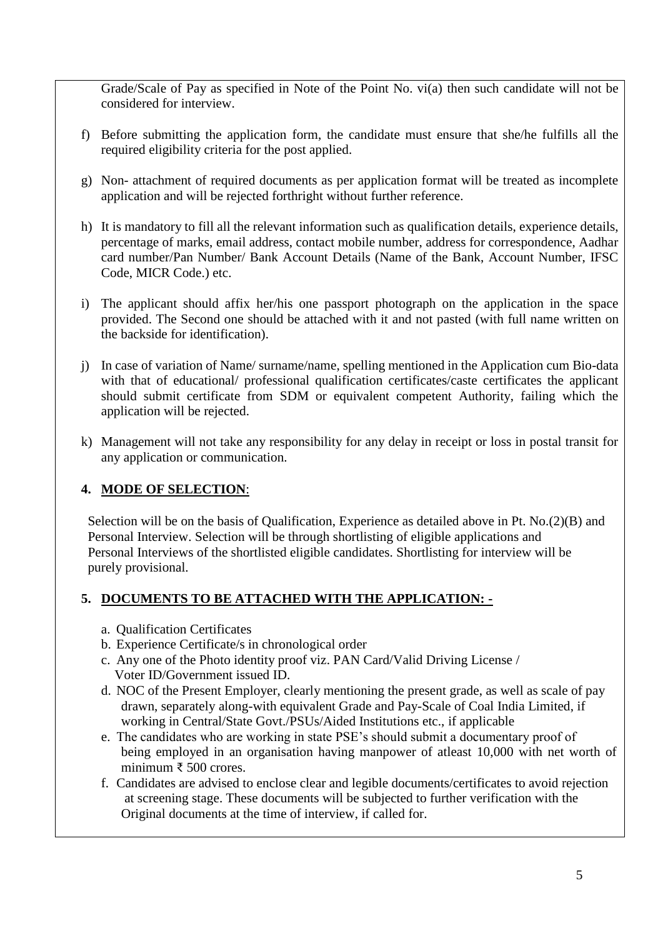Grade/Scale of Pay as specified in Note of the Point No. vi(a) then such candidate will not be considered for interview.

- f) Before submitting the application form, the candidate must ensure that she/he fulfills all the required eligibility criteria for the post applied.
- g) Non- attachment of required documents as per application format will be treated as incomplete application and will be rejected forthright without further reference.
- h) It is mandatory to fill all the relevant information such as qualification details, experience details, percentage of marks, email address, contact mobile number, address for correspondence, Aadhar card number/Pan Number/ Bank Account Details (Name of the Bank, Account Number, IFSC Code, MICR Code.) etc.
- i) The applicant should affix her/his one passport photograph on the application in the space provided. The Second one should be attached with it and not pasted (with full name written on the backside for identification).
- j) In case of variation of Name/ surname/name, spelling mentioned in the Application cum Bio-data with that of educational/ professional qualification certificates/caste certificates the applicant should submit certificate from SDM or equivalent competent Authority, failing which the application will be rejected.
- k) Management will not take any responsibility for any delay in receipt or loss in postal transit for any application or communication.

## **4. MODE OF SELECTION**:

 Selection will be on the basis of Qualification, Experience as detailed above in Pt. No.(2)(B) and Personal Interview. Selection will be through shortlisting of eligible applications and Personal Interviews of the shortlisted eligible candidates. Shortlisting for interview will be purely provisional.

## **5. DOCUMENTS TO BE ATTACHED WITH THE APPLICATION: -**

- a. Qualification Certificates
- b. Experience Certificate/s in chronological order
- c. Any one of the Photo identity proof viz. PAN Card/Valid Driving License / Voter ID/Government issued ID.
- d. NOC of the Present Employer, clearly mentioning the present grade, as well as scale of pay drawn, separately along-with equivalent Grade and Pay-Scale of Coal India Limited, if working in Central/State Govt./PSUs/Aided Institutions etc., if applicable
- e. The candidates who are working in state PSE's should submit a documentary proof of being employed in an organisation having manpower of atleast 10,000 with net worth of minimum ₹ 500 crores.
- f. Candidates are advised to enclose clear and legible documents/certificates to avoid rejection at screening stage. These documents will be subjected to further verification with the Original documents at the time of interview, if called for.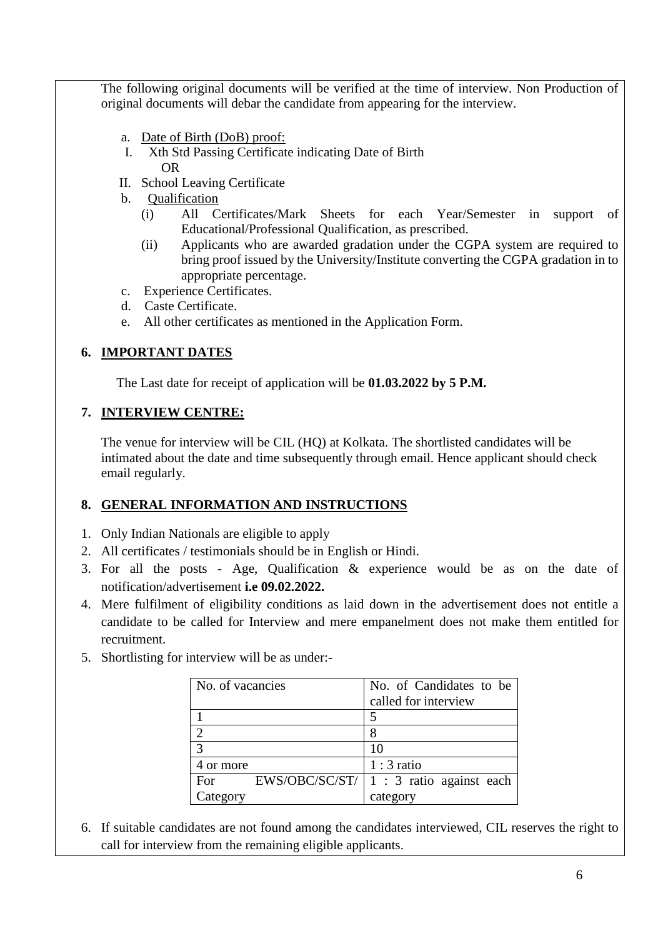The following original documents will be verified at the time of interview. Non Production of original documents will debar the candidate from appearing for the interview.

- a. Date of Birth (DoB) proof:
- I. Xth Std Passing Certificate indicating Date of Birth OR
- II. School Leaving Certificate
- b. Qualification
	- (i) All Certificates/Mark Sheets for each Year/Semester in support of Educational/Professional Qualification, as prescribed.
	- (ii) Applicants who are awarded gradation under the CGPA system are required to bring proof issued by the University/Institute converting the CGPA gradation in to appropriate percentage.
- c. Experience Certificates.
- d. Caste Certificate.
- e. All other certificates as mentioned in the Application Form.

## **6. IMPORTANT DATES**

The Last date for receipt of application will be **01.03.2022 by 5 P.M.**

## **7. INTERVIEW CENTRE:**

The venue for interview will be CIL (HQ) at Kolkata. The shortlisted candidates will be intimated about the date and time subsequently through email. Hence applicant should check email regularly.

## **8. GENERAL INFORMATION AND INSTRUCTIONS**

- 1. Only Indian Nationals are eligible to apply
- 2. All certificates / testimonials should be in English or Hindi.
- 3. For all the posts Age, Qualification & experience would be as on the date of notification/advertisement **i.e 09.02.2022.**
- 4. Mere fulfilment of eligibility conditions as laid down in the advertisement does not entitle a candidate to be called for Interview and mere empanelment does not make them entitled for recruitment.
- 5. Shortlisting for interview will be as under:-

| No. of vacancies |                | No. of Candidates to be  |  |  |  |
|------------------|----------------|--------------------------|--|--|--|
|                  |                | called for interview     |  |  |  |
|                  |                |                          |  |  |  |
|                  |                |                          |  |  |  |
| $\mathcal{R}$    |                | 10                       |  |  |  |
| 4 or more        |                | $1:3$ ratio              |  |  |  |
| For              | EWS/OBC/SC/ST/ | 1 : 3 ratio against each |  |  |  |
| Category         |                | category                 |  |  |  |

6. If suitable candidates are not found among the candidates interviewed, CIL reserves the right to call for interview from the remaining eligible applicants.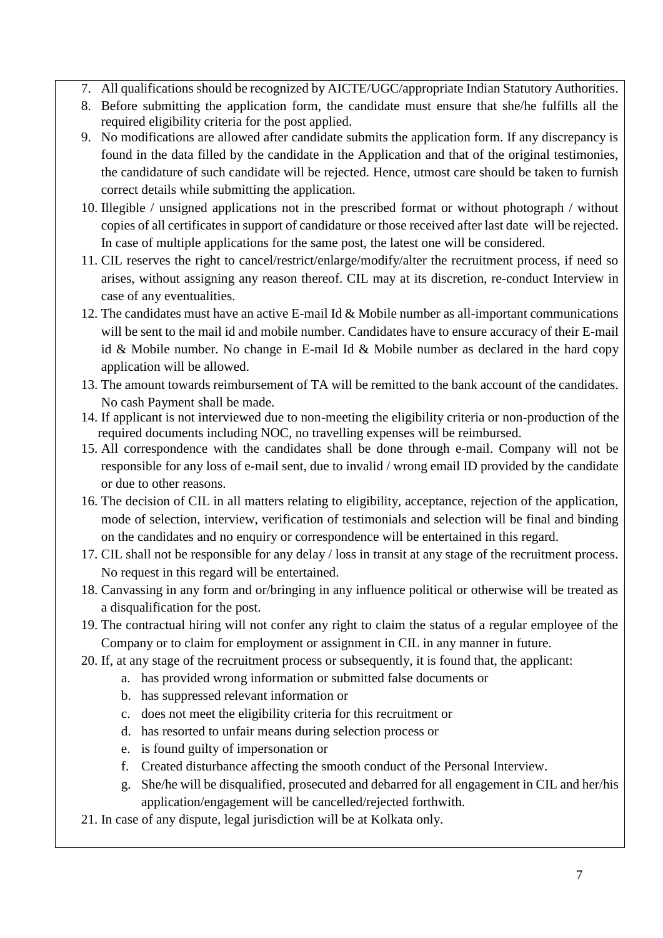- 7. All qualifications should be recognized by AICTE/UGC/appropriate Indian Statutory Authorities.
- 8. Before submitting the application form, the candidate must ensure that she/he fulfills all the required eligibility criteria for the post applied.
- 9. No modifications are allowed after candidate submits the application form. If any discrepancy is found in the data filled by the candidate in the Application and that of the original testimonies, the candidature of such candidate will be rejected. Hence, utmost care should be taken to furnish correct details while submitting the application.
- 10. Illegible / unsigned applications not in the prescribed format or without photograph / without copies of all certificates in support of candidature or those received after last date will be rejected. In case of multiple applications for the same post, the latest one will be considered.
- 11. CIL reserves the right to cancel/restrict/enlarge/modify/alter the recruitment process, if need so arises, without assigning any reason thereof. CIL may at its discretion, re-conduct Interview in case of any eventualities.
- 12. The candidates must have an active E-mail Id & Mobile number as all-important communications will be sent to the mail id and mobile number. Candidates have to ensure accuracy of their E-mail id & Mobile number. No change in E-mail Id & Mobile number as declared in the hard copy application will be allowed.
- 13. The amount towards reimbursement of TA will be remitted to the bank account of the candidates. No cash Payment shall be made.
- 14. If applicant is not interviewed due to non-meeting the eligibility criteria or non-production of the required documents including NOC, no travelling expenses will be reimbursed.
- 15. All correspondence with the candidates shall be done through e-mail. Company will not be responsible for any loss of e-mail sent, due to invalid / wrong email ID provided by the candidate or due to other reasons.
- 16. The decision of CIL in all matters relating to eligibility, acceptance, rejection of the application, mode of selection, interview, verification of testimonials and selection will be final and binding on the candidates and no enquiry or correspondence will be entertained in this regard.
- 17. CIL shall not be responsible for any delay / loss in transit at any stage of the recruitment process. No request in this regard will be entertained.
- 18. Canvassing in any form and or/bringing in any influence political or otherwise will be treated as a disqualification for the post.
- 19. The contractual hiring will not confer any right to claim the status of a regular employee of the Company or to claim for employment or assignment in CIL in any manner in future.
- 20. If, at any stage of the recruitment process or subsequently, it is found that, the applicant:
	- a. has provided wrong information or submitted false documents or
	- b. has suppressed relevant information or
	- c. does not meet the eligibility criteria for this recruitment or
	- d. has resorted to unfair means during selection process or
	- e. is found guilty of impersonation or
	- f. Created disturbance affecting the smooth conduct of the Personal Interview.
	- g. She/he will be disqualified, prosecuted and debarred for all engagement in CIL and her/his application/engagement will be cancelled/rejected forthwith.
- 21. In case of any dispute, legal jurisdiction will be at Kolkata only.